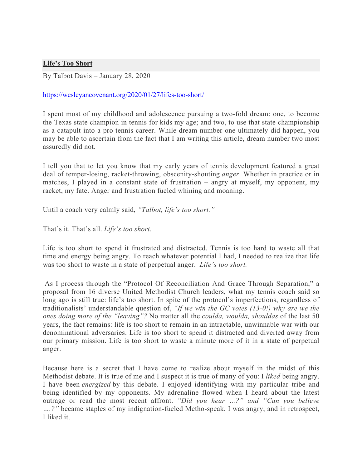## **Life's Too Short**

By Talbot Davis – January 28, 2020

## https://wesleyancovenant.org/2020/01/27/lifes-too-short/

I spent most of my childhood and adolescence pursuing a two-fold dream: one, to become the Texas state champion in tennis for kids my age; and two, to use that state championship as a catapult into a pro tennis career. While dream number one ultimately did happen, you may be able to ascertain from the fact that I am writing this article, dream number two most assuredly did not.

I tell you that to let you know that my early years of tennis development featured a great deal of temper-losing, racket-throwing, obscenity-shouting *anger*. Whether in practice or in matches, I played in a constant state of frustration – angry at myself, my opponent, my racket, my fate. Anger and frustration fueled whining and moaning.

Until a coach very calmly said, *"Talbot, life's too short."*

That's it. That's all. *Life's too short.*

Life is too short to spend it frustrated and distracted. Tennis is too hard to waste all that time and energy being angry. To reach whatever potential I had, I needed to realize that life was too short to waste in a state of perpetual anger. *Life's too short.*

As I process through the "Protocol Of Reconciliation And Grace Through Separation," a proposal from 16 diverse United Methodist Church leaders, what my tennis coach said so long ago is still true: life's too short. In spite of the protocol's imperfections, regardless of traditionalists' understandable question of, *"If we win the GC votes (13-0!) why are we the ones doing more of the "leaving"?* No matter all the *coulda, woulda, shouldas* of the last 50 years, the fact remains: life is too short to remain in an intractable, unwinnable war with our denominational adversaries. Life is too short to spend it distracted and diverted away from our primary mission. Life is too short to waste a minute more of it in a state of perpetual anger.

Because here is a secret that I have come to realize about myself in the midst of this Methodist debate. It is true of me and I suspect it is true of many of you: I *liked* being angry. I have been *energized* by this debate. I enjoyed identifying with my particular tribe and being identified by my opponents. My adrenaline flowed when I heard about the latest outrage or read the most recent affront. *"Did you hear …?" and "Can you believe ….?"* became staples of my indignation-fueled Metho-speak. I was angry, and in retrospect, I liked it.